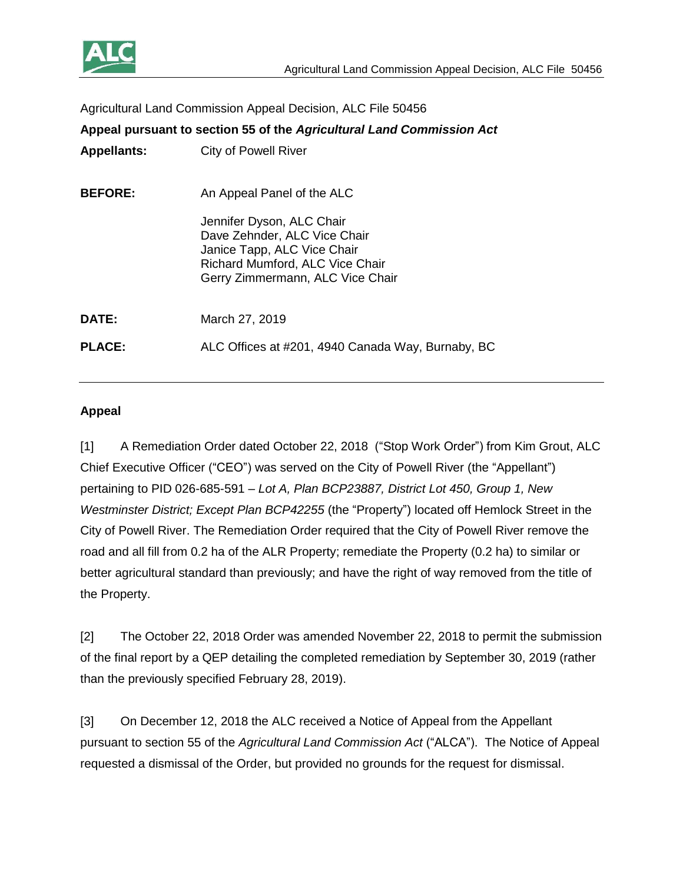

Agricultural Land Commission Appeal Decision, ALC File 50456

**Appeal pursuant to section 55 of the** *Agricultural Land Commission Act* **Appellants:** City of Powell River **BEFORE:** An Appeal Panel of the ALC Jennifer Dyson, ALC Chair Dave Zehnder, ALC Vice Chair Janice Tapp, ALC Vice Chair Richard Mumford, ALC Vice Chair Gerry Zimmermann, ALC Vice Chair **DATE:** March 27, 2019 **PLACE:** ALC Offices at #201, 4940 Canada Way, Burnaby, BC

### **Appeal**

[1] A Remediation Order dated October 22, 2018 ("Stop Work Order") from Kim Grout, ALC Chief Executive Officer ("CEO") was served on the City of Powell River (the "Appellant") pertaining to PID 026-685-591 – *Lot A, Plan BCP23887, District Lot 450, Group 1, New Westminster District; Except Plan BCP42255* (the "Property") located off Hemlock Street in the City of Powell River. The Remediation Order required that the City of Powell River remove the road and all fill from 0.2 ha of the ALR Property; remediate the Property (0.2 ha) to similar or better agricultural standard than previously; and have the right of way removed from the title of the Property.

[2] The October 22, 2018 Order was amended November 22, 2018 to permit the submission of the final report by a QEP detailing the completed remediation by September 30, 2019 (rather than the previously specified February 28, 2019).

[3] On December 12, 2018 the ALC received a Notice of Appeal from the Appellant pursuant to section 55 of the *Agricultural Land Commission Act* ("ALCA"). The Notice of Appeal requested a dismissal of the Order, but provided no grounds for the request for dismissal.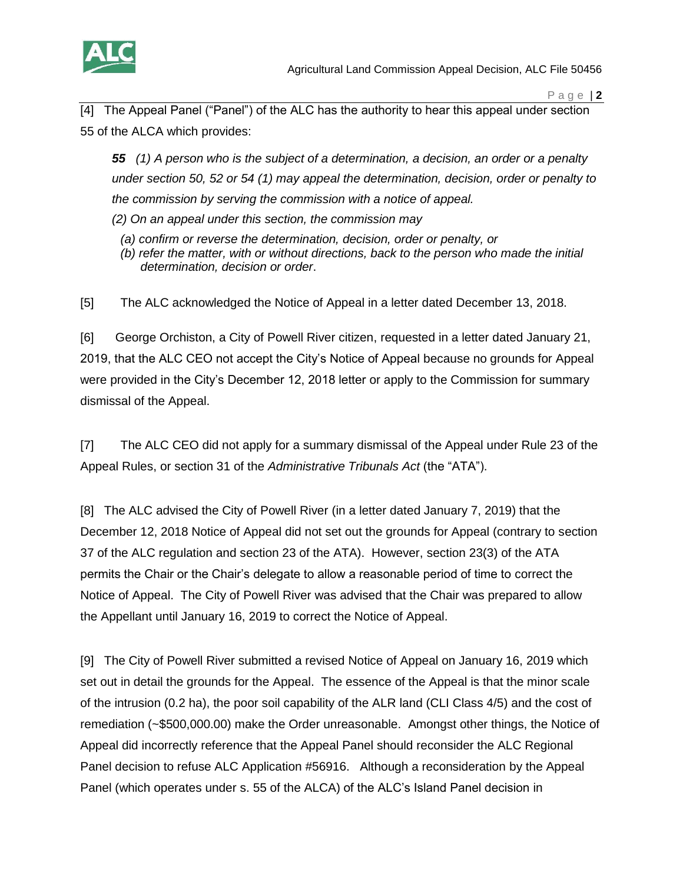

[4] The Appeal Panel ("Panel") of the ALC has the authority to hear this appeal under section 55 of the ALCA which provides:

*55 (1) A person who is the subject of a determination, a decision, an order or a penalty under section 50, 52 or 54 (1) may appeal the determination, decision, order or penalty to the commission by serving the commission with a notice of appeal. (2) On an appeal under this section, the commission may*

- *(a) confirm or reverse the determination, decision, order or penalty, or*
- *(b) refer the matter, with or without directions, back to the person who made the initial determination, decision or order*.

[5] The ALC acknowledged the Notice of Appeal in a letter dated December 13, 2018.

[6] George Orchiston, a City of Powell River citizen, requested in a letter dated January 21, 2019, that the ALC CEO not accept the City's Notice of Appeal because no grounds for Appeal were provided in the City's December 12, 2018 letter or apply to the Commission for summary dismissal of the Appeal.

[7] The ALC CEO did not apply for a summary dismissal of the Appeal under Rule 23 of the Appeal Rules, or section 31 of the *Administrative Tribunals Act* (the "ATA").

[8] The ALC advised the City of Powell River (in a letter dated January 7, 2019) that the December 12, 2018 Notice of Appeal did not set out the grounds for Appeal (contrary to section 37 of the ALC regulation and section 23 of the ATA). However, section 23(3) of the ATA permits the Chair or the Chair's delegate to allow a reasonable period of time to correct the Notice of Appeal. The City of Powell River was advised that the Chair was prepared to allow the Appellant until January 16, 2019 to correct the Notice of Appeal.

[9] The City of Powell River submitted a revised Notice of Appeal on January 16, 2019 which set out in detail the grounds for the Appeal. The essence of the Appeal is that the minor scale of the intrusion (0.2 ha), the poor soil capability of the ALR land (CLI Class 4/5) and the cost of remediation (~\$500,000.00) make the Order unreasonable. Amongst other things, the Notice of Appeal did incorrectly reference that the Appeal Panel should reconsider the ALC Regional Panel decision to refuse ALC Application #56916. Although a reconsideration by the Appeal Panel (which operates under s. 55 of the ALCA) of the ALC's Island Panel decision in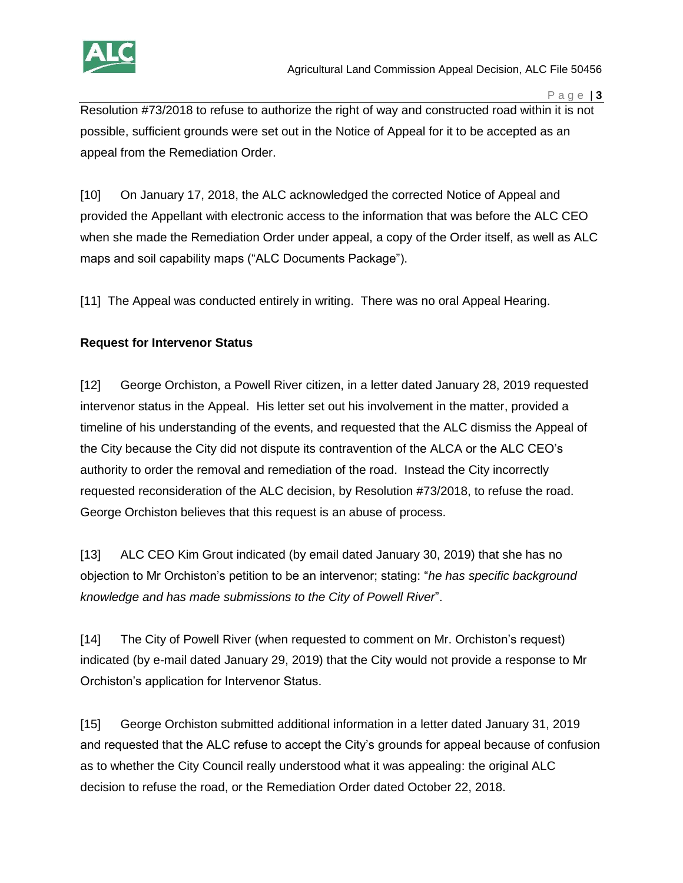

Resolution #73/2018 to refuse to authorize the right of way and constructed road within it is not possible, sufficient grounds were set out in the Notice of Appeal for it to be accepted as an appeal from the Remediation Order.

[10] On January 17, 2018, the ALC acknowledged the corrected Notice of Appeal and provided the Appellant with electronic access to the information that was before the ALC CEO when she made the Remediation Order under appeal, a copy of the Order itself, as well as ALC maps and soil capability maps ("ALC Documents Package").

[11] The Appeal was conducted entirely in writing. There was no oral Appeal Hearing.

# **Request for Intervenor Status**

[12] George Orchiston, a Powell River citizen, in a letter dated January 28, 2019 requested intervenor status in the Appeal. His letter set out his involvement in the matter, provided a timeline of his understanding of the events, and requested that the ALC dismiss the Appeal of the City because the City did not dispute its contravention of the ALCA or the ALC CEO's authority to order the removal and remediation of the road. Instead the City incorrectly requested reconsideration of the ALC decision, by Resolution #73/2018, to refuse the road. George Orchiston believes that this request is an abuse of process.

[13] ALC CEO Kim Grout indicated (by email dated January 30, 2019) that she has no objection to Mr Orchiston's petition to be an intervenor; stating: "*he has specific background knowledge and has made submissions to the City of Powell River*".

[14] The City of Powell River (when requested to comment on Mr. Orchiston's request) indicated (by e-mail dated January 29, 2019) that the City would not provide a response to Mr Orchiston's application for Intervenor Status.

[15] George Orchiston submitted additional information in a letter dated January 31, 2019 and requested that the ALC refuse to accept the City's grounds for appeal because of confusion as to whether the City Council really understood what it was appealing: the original ALC decision to refuse the road, or the Remediation Order dated October 22, 2018.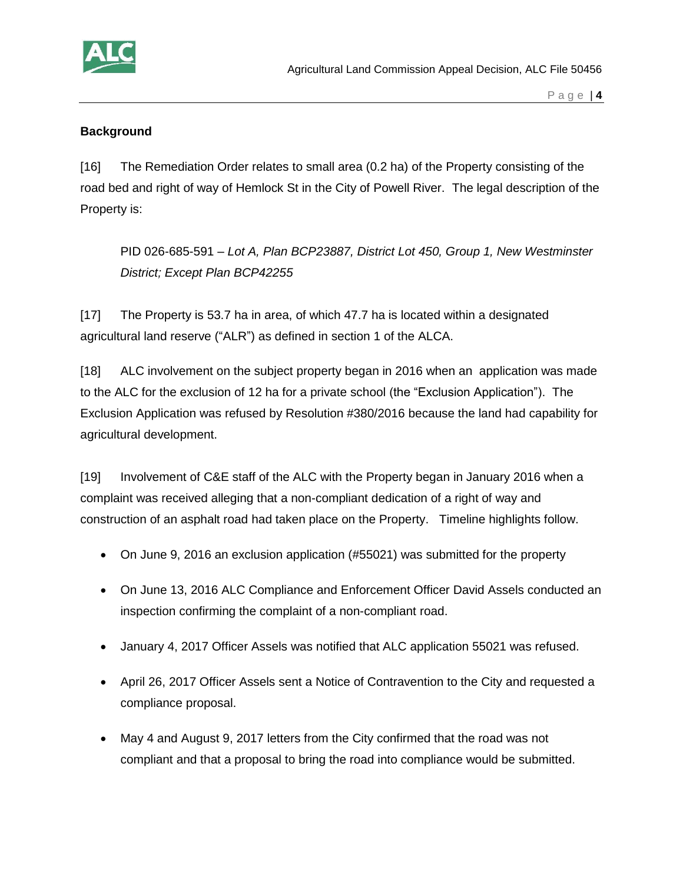

## **Background**

[16] The Remediation Order relates to small area (0.2 ha) of the Property consisting of the road bed and right of way of Hemlock St in the City of Powell River. The legal description of the Property is:

PID 026-685-591 – *Lot A, Plan BCP23887, District Lot 450, Group 1, New Westminster District; Except Plan BCP42255*

[17] The Property is 53.7 ha in area, of which 47.7 ha is located within a designated agricultural land reserve ("ALR") as defined in section 1 of the ALCA.

[18] ALC involvement on the subject property began in 2016 when an application was made to the ALC for the exclusion of 12 ha for a private school (the "Exclusion Application"). The Exclusion Application was refused by Resolution #380/2016 because the land had capability for agricultural development.

[19] Involvement of C&E staff of the ALC with the Property began in January 2016 when a complaint was received alleging that a non-compliant dedication of a right of way and construction of an asphalt road had taken place on the Property. Timeline highlights follow.

- On June 9, 2016 an exclusion application (#55021) was submitted for the property
- On June 13, 2016 ALC Compliance and Enforcement Officer David Assels conducted an inspection confirming the complaint of a non-compliant road.
- January 4, 2017 Officer Assels was notified that ALC application 55021 was refused.
- April 26, 2017 Officer Assels sent a Notice of Contravention to the City and requested a compliance proposal.
- May 4 and August 9, 2017 letters from the City confirmed that the road was not compliant and that a proposal to bring the road into compliance would be submitted.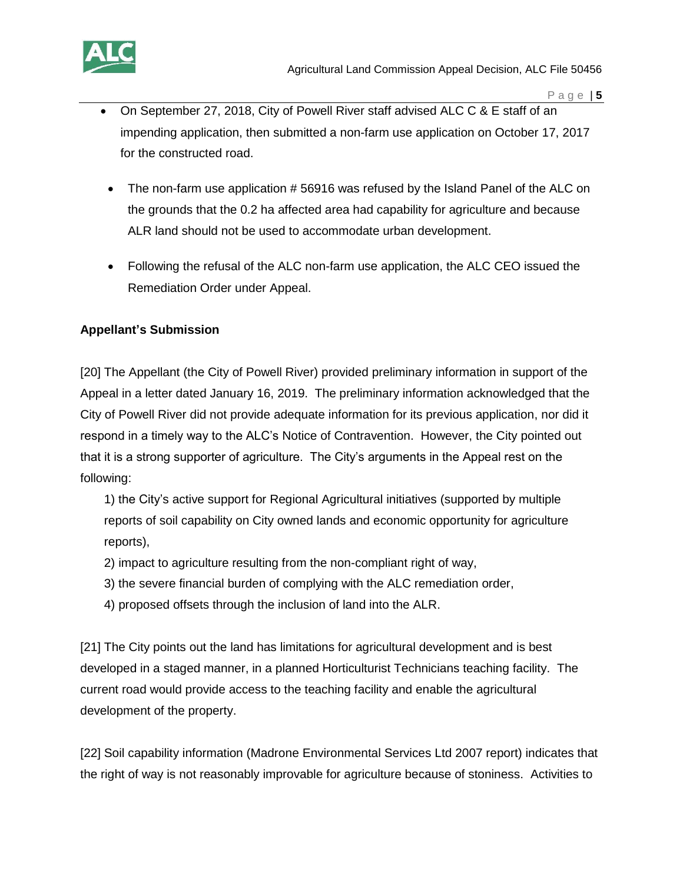

- On September 27, 2018, City of Powell River staff advised ALC C & E staff of an impending application, then submitted a non-farm use application on October 17, 2017 for the constructed road.
- The non-farm use application #56916 was refused by the Island Panel of the ALC on the grounds that the 0.2 ha affected area had capability for agriculture and because ALR land should not be used to accommodate urban development.
- Following the refusal of the ALC non-farm use application, the ALC CEO issued the Remediation Order under Appeal.

# **Appellant's Submission**

[20] The Appellant (the City of Powell River) provided preliminary information in support of the Appeal in a letter dated January 16, 2019. The preliminary information acknowledged that the City of Powell River did not provide adequate information for its previous application, nor did it respond in a timely way to the ALC's Notice of Contravention. However, the City pointed out that it is a strong supporter of agriculture. The City's arguments in the Appeal rest on the following:

1) the City's active support for Regional Agricultural initiatives (supported by multiple reports of soil capability on City owned lands and economic opportunity for agriculture reports),

- 2) impact to agriculture resulting from the non-compliant right of way,
- 3) the severe financial burden of complying with the ALC remediation order,
- 4) proposed offsets through the inclusion of land into the ALR.

[21] The City points out the land has limitations for agricultural development and is best developed in a staged manner, in a planned Horticulturist Technicians teaching facility. The current road would provide access to the teaching facility and enable the agricultural development of the property.

[22] Soil capability information (Madrone Environmental Services Ltd 2007 report) indicates that the right of way is not reasonably improvable for agriculture because of stoniness. Activities to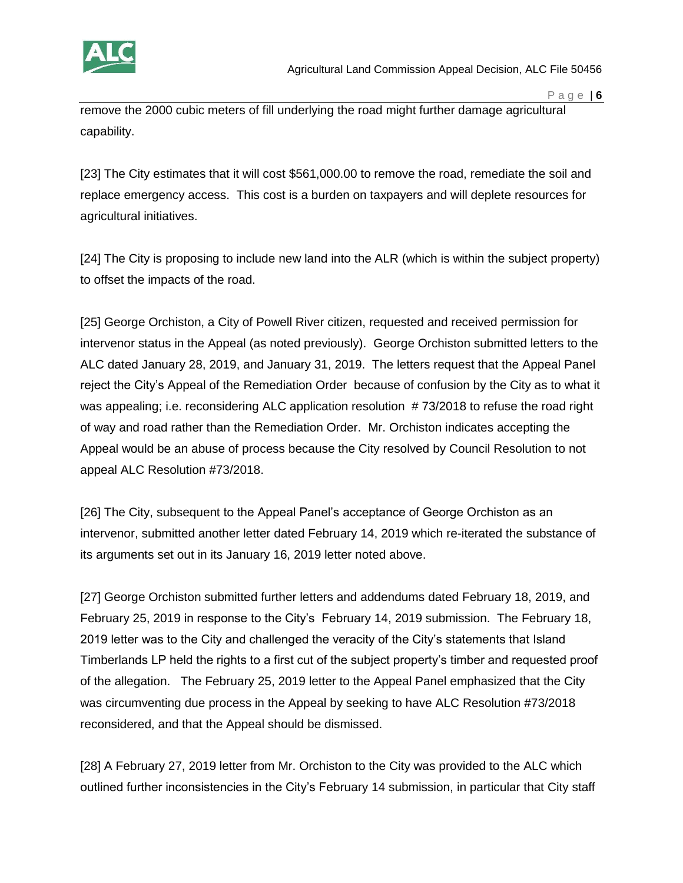

remove the 2000 cubic meters of fill underlying the road might further damage agricultural capability.

[23] The City estimates that it will cost \$561,000.00 to remove the road, remediate the soil and replace emergency access. This cost is a burden on taxpayers and will deplete resources for agricultural initiatives.

[24] The City is proposing to include new land into the ALR (which is within the subject property) to offset the impacts of the road.

[25] George Orchiston, a City of Powell River citizen, requested and received permission for intervenor status in the Appeal (as noted previously). George Orchiston submitted letters to the ALC dated January 28, 2019, and January 31, 2019. The letters request that the Appeal Panel reject the City's Appeal of the Remediation Order because of confusion by the City as to what it was appealing; i.e. reconsidering ALC application resolution #73/2018 to refuse the road right of way and road rather than the Remediation Order. Mr. Orchiston indicates accepting the Appeal would be an abuse of process because the City resolved by Council Resolution to not appeal ALC Resolution #73/2018.

[26] The City, subsequent to the Appeal Panel's acceptance of George Orchiston as an intervenor, submitted another letter dated February 14, 2019 which re-iterated the substance of its arguments set out in its January 16, 2019 letter noted above.

[27] George Orchiston submitted further letters and addendums dated February 18, 2019, and February 25, 2019 in response to the City's February 14, 2019 submission. The February 18, 2019 letter was to the City and challenged the veracity of the City's statements that Island Timberlands LP held the rights to a first cut of the subject property's timber and requested proof of the allegation. The February 25, 2019 letter to the Appeal Panel emphasized that the City was circumventing due process in the Appeal by seeking to have ALC Resolution #73/2018 reconsidered, and that the Appeal should be dismissed.

[28] A February 27, 2019 letter from Mr. Orchiston to the City was provided to the ALC which outlined further inconsistencies in the City's February 14 submission, in particular that City staff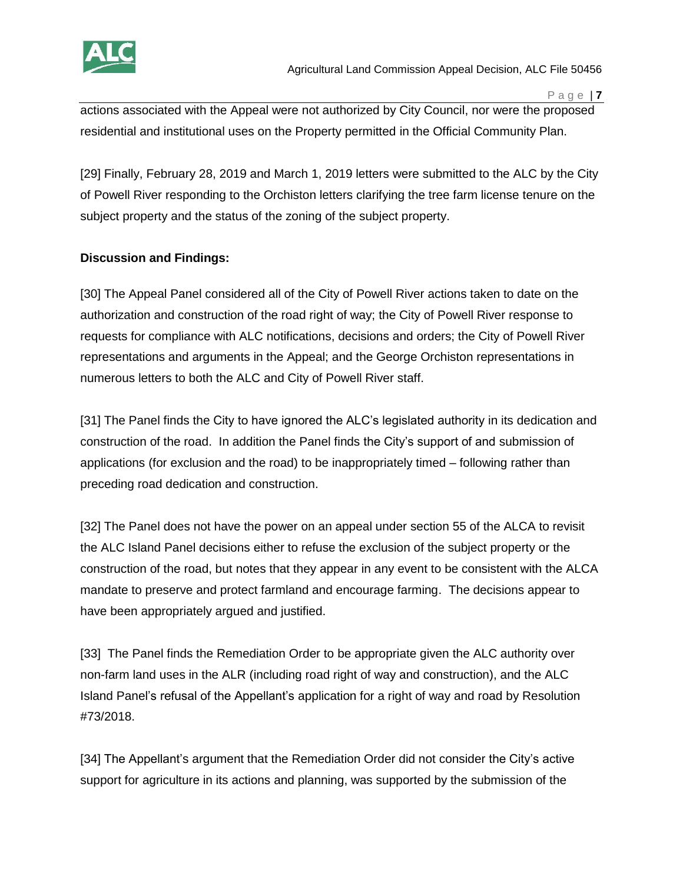

actions associated with the Appeal were not authorized by City Council, nor were the proposed residential and institutional uses on the Property permitted in the Official Community Plan.

[29] Finally, February 28, 2019 and March 1, 2019 letters were submitted to the ALC by the City of Powell River responding to the Orchiston letters clarifying the tree farm license tenure on the subject property and the status of the zoning of the subject property.

# **Discussion and Findings:**

[30] The Appeal Panel considered all of the City of Powell River actions taken to date on the authorization and construction of the road right of way; the City of Powell River response to requests for compliance with ALC notifications, decisions and orders; the City of Powell River representations and arguments in the Appeal; and the George Orchiston representations in numerous letters to both the ALC and City of Powell River staff.

[31] The Panel finds the City to have ignored the ALC's legislated authority in its dedication and construction of the road. In addition the Panel finds the City's support of and submission of applications (for exclusion and the road) to be inappropriately timed – following rather than preceding road dedication and construction.

[32] The Panel does not have the power on an appeal under section 55 of the ALCA to revisit the ALC Island Panel decisions either to refuse the exclusion of the subject property or the construction of the road, but notes that they appear in any event to be consistent with the ALCA mandate to preserve and protect farmland and encourage farming. The decisions appear to have been appropriately argued and justified.

[33] The Panel finds the Remediation Order to be appropriate given the ALC authority over non-farm land uses in the ALR (including road right of way and construction), and the ALC Island Panel's refusal of the Appellant's application for a right of way and road by Resolution #73/2018.

[34] The Appellant's argument that the Remediation Order did not consider the City's active support for agriculture in its actions and planning, was supported by the submission of the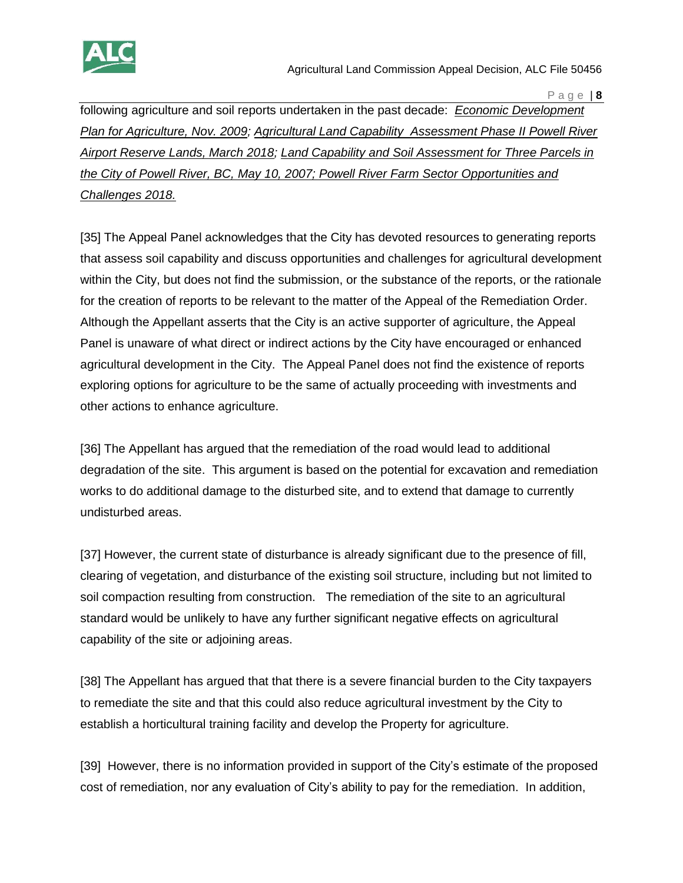

following agriculture and soil reports undertaken in the past decade: *Economic Development Plan for Agriculture, Nov. 2009; Agricultural Land Capability Assessment Phase II Powell River Airport Reserve Lands, March 2018; Land Capability and Soil Assessment for Three Parcels in the City of Powell River, BC, May 10, 2007; Powell River Farm Sector Opportunities and Challenges 2018.*

[35] The Appeal Panel acknowledges that the City has devoted resources to generating reports that assess soil capability and discuss opportunities and challenges for agricultural development within the City, but does not find the submission, or the substance of the reports, or the rationale for the creation of reports to be relevant to the matter of the Appeal of the Remediation Order. Although the Appellant asserts that the City is an active supporter of agriculture, the Appeal Panel is unaware of what direct or indirect actions by the City have encouraged or enhanced agricultural development in the City. The Appeal Panel does not find the existence of reports exploring options for agriculture to be the same of actually proceeding with investments and other actions to enhance agriculture.

[36] The Appellant has argued that the remediation of the road would lead to additional degradation of the site. This argument is based on the potential for excavation and remediation works to do additional damage to the disturbed site, and to extend that damage to currently undisturbed areas.

[37] However, the current state of disturbance is already significant due to the presence of fill, clearing of vegetation, and disturbance of the existing soil structure, including but not limited to soil compaction resulting from construction. The remediation of the site to an agricultural standard would be unlikely to have any further significant negative effects on agricultural capability of the site or adjoining areas.

[38] The Appellant has argued that that there is a severe financial burden to the City taxpayers to remediate the site and that this could also reduce agricultural investment by the City to establish a horticultural training facility and develop the Property for agriculture.

[39] However, there is no information provided in support of the City's estimate of the proposed cost of remediation, nor any evaluation of City's ability to pay for the remediation. In addition,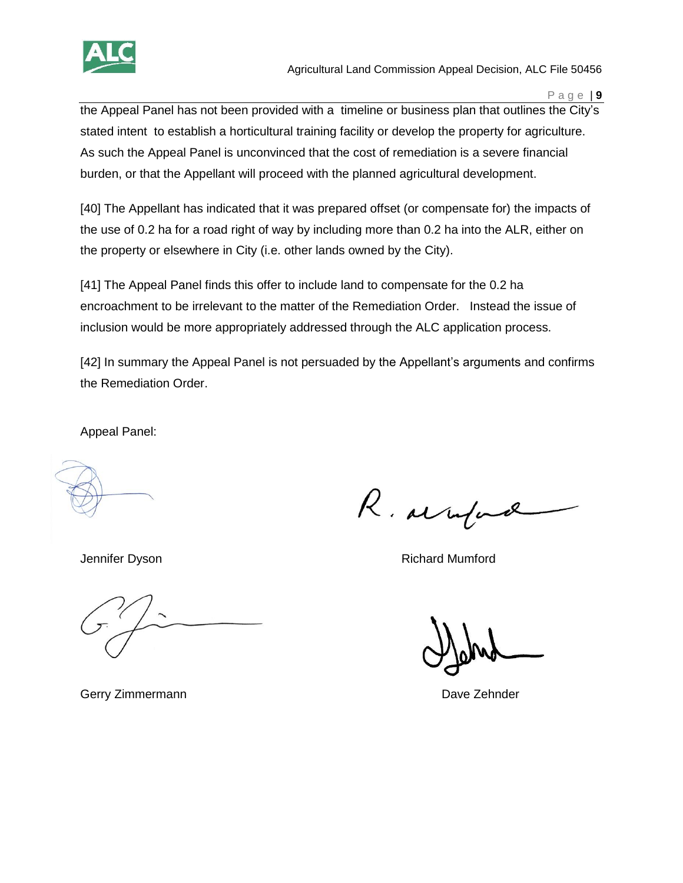

Agricultural Land Commission Appeal Decision, ALC File 50456

P a g e | **9**

the Appeal Panel has not been provided with a timeline or business plan that outlines the City's stated intent to establish a horticultural training facility or develop the property for agriculture. As such the Appeal Panel is unconvinced that the cost of remediation is a severe financial burden, or that the Appellant will proceed with the planned agricultural development.

[40] The Appellant has indicated that it was prepared offset (or compensate for) the impacts of the use of 0.2 ha for a road right of way by including more than 0.2 ha into the ALR, either on the property or elsewhere in City (i.e. other lands owned by the City).

[41] The Appeal Panel finds this offer to include land to compensate for the 0.2 ha encroachment to be irrelevant to the matter of the Remediation Order. Instead the issue of inclusion would be more appropriately addressed through the ALC application process.

[42] In summary the Appeal Panel is not persuaded by the Appellant's arguments and confirms the Remediation Order.

Appeal Panel:

R. arrife

Jennifer Dyson **Richard Mumford** 

Gerry Zimmermann **Dave Zehnder** Dave Zehnder